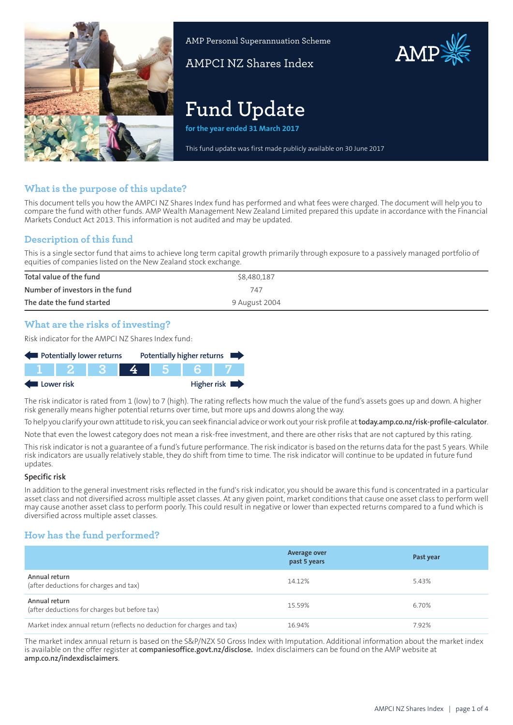

AMP Personal Superannuation Scheme

AMPCI NZ Shares Index

# **Fund Update**

**for the year ended 31 March 2017**

This fund update was first made publicly available on 30 June 2017

## **What is the purpose of this update?**

This document tells you how the AMPCI NZ Shares Index fund has performed and what fees were charged. The document will help you to compare the fund with other funds. AMP Wealth Management New Zealand Limited prepared this update in accordance with the Financial Markets Conduct Act 2013. This information is not audited and may be updated.

## **Description of this fund**

This is a single sector fund that aims to achieve long term capital growth primarily through exposure to a passively managed portfolio of equities of companies listed on the New Zealand stock exchange.

| Total value of the fund         | \$8,480,187   |
|---------------------------------|---------------|
| Number of investors in the fund | 747           |
| The date the fund started       | 9 August 2004 |

## **What are the risks of investing?**

Risk indicator for the AMPCI NZ Shares Index fund:

| Potentially lower returns |  |        |  |  | Potentially higher returns |
|---------------------------|--|--------|--|--|----------------------------|
|                           |  | 112531 |  |  |                            |
| Higher risk<br>Lower risk |  |        |  |  |                            |

The risk indicator is rated from 1 (low) to 7 (high). The rating reflects how much the value of the fund's assets goes up and down. A higher risk generally means higher potential returns over time, but more ups and downs along the way.

To help you clarify your own attitude to risk, you can seek financial advice orwork out yourrisk profile at**[today.amp.co.nz/risk-profile-calculator](http://today.amp.co.nz/risk-profile-calculator)**. Note that even the lowest category does not mean a risk-free investment, and there are other risks that are not captured by this rating.

This risk indicator is not a guarantee of a fund's future performance. The risk indicator is based on the returns data for the past 5 years. While risk indicators are usually relatively stable, they do shift from time to time. The risk indicator will continue to be updated in future fund updates.

#### **Specific risk**

In addition to the general investment risks reflected in the fund's risk indicator, you should be aware this fund is concentrated in a particular asset class and not diversified across multiple asset classes. At any given point, market conditions that cause one asset class to perform well may cause another asset class to perform poorly. This could result in negative or lower than expected returns compared to a fund which is diversified across multiple asset classes.

## **How has the fund performed?**

|                                                                        | <b>Average over</b><br>past 5 years | Past year |
|------------------------------------------------------------------------|-------------------------------------|-----------|
| Annual return<br>(after deductions for charges and tax)                | 14.12%                              | 5.43%     |
| Annual return<br>(after deductions for charges but before tax)         | 15.59%                              | 6.70%     |
| Market index annual return (reflects no deduction for charges and tax) | 16.94%                              | 7.92%     |

The market index annual return is based on the S&P/NZX 50 Gross Index with Imputation. Additional information about the market index is available on the offer register at **[companiesoffice.govt.nz/disclose](http://companiesoffice.govt.nz/disclose).** Index disclaimers can be found on the AMP website at **[amp.co.nz/indexdisclaimers](http://amp.co.nz/indexdisclaimers)**.

AMP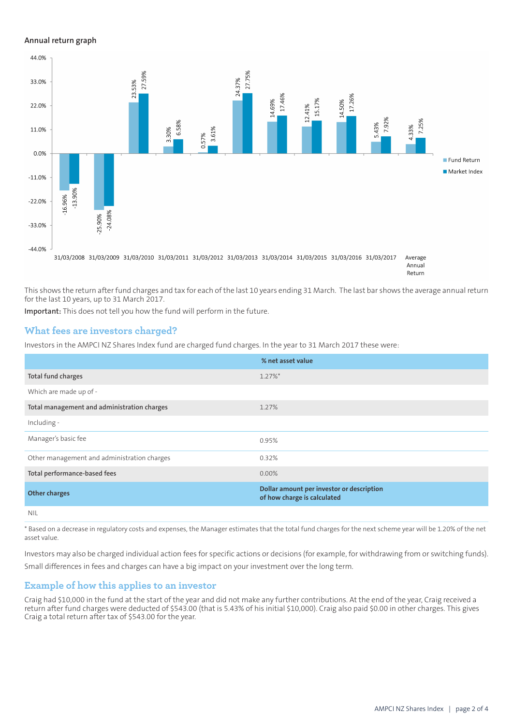#### **Annual return graph**



This shows the return after fund charges and tax for each of the last 10 years ending 31 March. The last bar shows the average annual return for the last 10 years, up to 31 March 2017.

**Important:** This does not tell you how the fund will perform in the future.

#### **What fees are investors charged?**

Investors in the AMPCI NZ Shares Index fund are charged fund charges. In the year to 31 March 2017 these were:

|                                             | % net asset value                                                        |
|---------------------------------------------|--------------------------------------------------------------------------|
| Total fund charges                          | $1.27\%$ *                                                               |
| Which are made up of -                      |                                                                          |
| Total management and administration charges | 1.27%                                                                    |
| Including -                                 |                                                                          |
| Manager's basic fee                         | 0.95%                                                                    |
| Other management and administration charges | 0.32%                                                                    |
| Total performance-based fees                | $0.00\%$                                                                 |
| <b>Other charges</b>                        | Dollar amount per investor or description<br>of how charge is calculated |
| <b>NIL</b>                                  |                                                                          |

\* Based on a decrease in regulatory costs and expenses, the Manager estimates that the total fund charges for the next scheme year will be 1.20% of the net asset value.

Investors may also be charged individual action fees for specific actions or decisions (for example, for withdrawing from or switching funds). Small differences in fees and charges can have a big impact on your investment over the long term.

#### **Example of how this applies to an investor**

Craig had \$10,000 in the fund at the start of the year and did not make any further contributions. At the end of the year, Craig received a return after fund charges were deducted of \$543.00 (that is 5.43% of his initial \$10,000). Craig also paid \$0.00 in other charges. This gives Craig a total return after tax of \$543.00 for the year.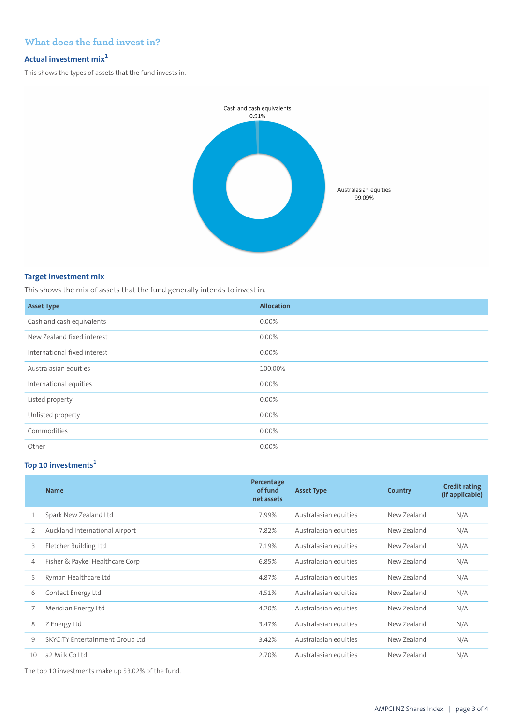## **What does the fund invest in?**

### **Actual investment mix<sup>1</sup>**

This shows the types of assets that the fund invests in.



#### **Target investment mix**

This shows the mix of assets that the fund generally intends to invest in.

| <b>Asset Type</b>            | <b>Allocation</b> |
|------------------------------|-------------------|
| Cash and cash equivalents    | 0.00%             |
| New Zealand fixed interest   | 0.00%             |
| International fixed interest | 0.00%             |
| Australasian equities        | 100.00%           |
| International equities       | 0.00%             |
| Listed property              | 0.00%             |
| Unlisted property            | 0.00%             |
| Commodities                  | 0.00%             |
| Other                        | 0.00%             |

## **Top 10 investments<sup>1</sup>**

| <b>Name</b>                     | Percentage<br>of fund<br>net assets | <b>Asset Type</b>     | Country     | <b>Credit rating</b><br>(if applicable) |
|---------------------------------|-------------------------------------|-----------------------|-------------|-----------------------------------------|
| Spark New Zealand Ltd           | 7.99%                               | Australasian equities | New Zealand | N/A                                     |
| Auckland International Airport  | 7.82%                               | Australasian equities | New Zealand | N/A                                     |
| Fletcher Building Ltd           | 7.19%                               | Australasian equities | New Zealand | N/A                                     |
| Fisher & Paykel Healthcare Corp | 6.85%                               | Australasian equities | New Zealand | N/A                                     |
| Ryman Healthcare Ltd            | 4.87%                               | Australasian equities | New Zealand | N/A                                     |
| Contact Energy Ltd              | 4.51%                               | Australasian equities | New Zealand | N/A                                     |
| Meridian Energy Ltd             | 4.20%                               | Australasian equities | New Zealand | N/A                                     |
| Z Energy Ltd                    | 3.47%                               | Australasian equities | New Zealand | N/A                                     |
| SKYCITY Entertainment Group Ltd | 3.42%                               | Australasian equities | New Zealand | N/A                                     |
| a2 Milk Co Ltd                  | 2.70%                               | Australasian equities | New Zealand | N/A                                     |
|                                 |                                     |                       |             |                                         |

The top 10 investments make up 53.02% of the fund.